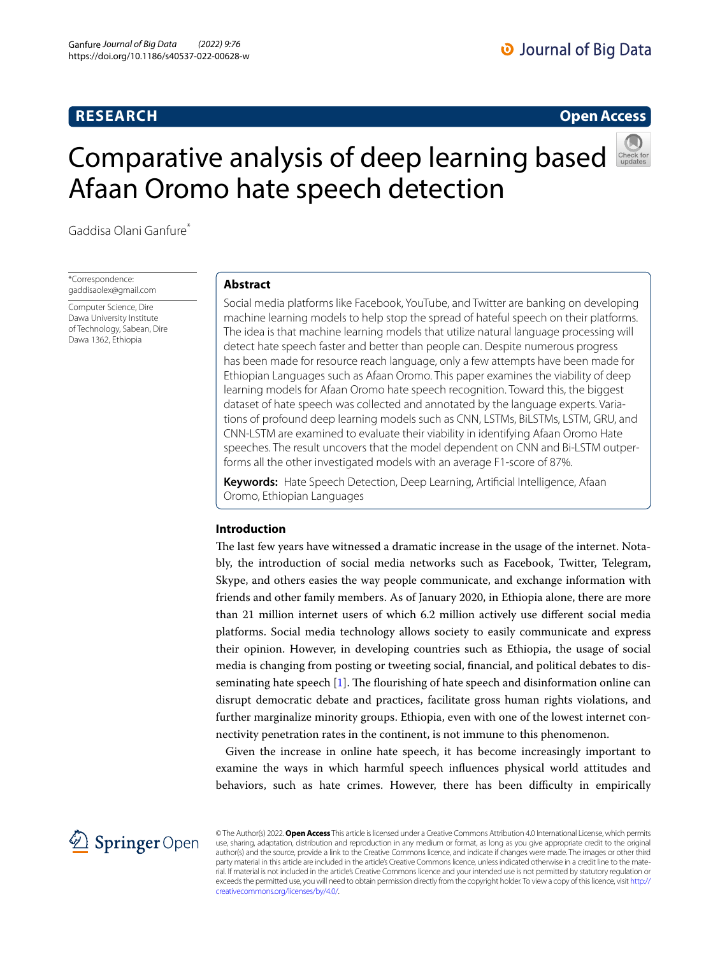## **RESEARCH**

## **Open Access**

# Comparative analysis of deep learning based Afaan Oromo hate speech detection



Gaddisa Olani Ganfure\*

\*Correspondence: gaddisaolex@gmail.com

Computer Science, Dire Dawa University Institute of Technology, Sabean, Dire Dawa 1362, Ethiopia

## **Abstract**

Social media platforms like Facebook, YouTube, and Twitter are banking on developing machine learning models to help stop the spread of hateful speech on their platforms. The idea is that machine learning models that utilize natural language processing will detect hate speech faster and better than people can. Despite numerous progress has been made for resource reach language, only a few attempts have been made for Ethiopian Languages such as Afaan Oromo. This paper examines the viability of deep learning models for Afaan Oromo hate speech recognition. Toward this, the biggest dataset of hate speech was collected and annotated by the language experts. Variations of profound deep learning models such as CNN, LSTMs, BiLSTMs, LSTM, GRU, and CNN-LSTM are examined to evaluate their viability in identifying Afaan Oromo Hate speeches. The result uncovers that the model dependent on CNN and Bi-LSTM outperforms all the other investigated models with an average F1-score of 87%.

**Keywords:** Hate Speech Detection, Deep Learning, Artifcial Intelligence, Afaan Oromo, Ethiopian Languages

## **Introduction**

The last few years have witnessed a dramatic increase in the usage of the internet. Notably, the introduction of social media networks such as Facebook, Twitter, Telegram, Skype, and others easies the way people communicate, and exchange information with friends and other family members. As of January 2020, in Ethiopia alone, there are more than 21 million internet users of which 6.2 million actively use diferent social media platforms. Social media technology allows society to easily communicate and express their opinion. However, in developing countries such as Ethiopia, the usage of social media is changing from posting or tweeting social, fnancial, and political debates to disseminating hate speech  $[1]$  $[1]$ . The flourishing of hate speech and disinformation online can disrupt democratic debate and practices, facilitate gross human rights violations, and further marginalize minority groups. Ethiopia, even with one of the lowest internet connectivity penetration rates in the continent, is not immune to this phenomenon.

Given the increase in online hate speech, it has become increasingly important to examine the ways in which harmful speech infuences physical world attitudes and behaviors, such as hate crimes. However, there has been difficulty in empirically



© The Author(s) 2022. **Open Access** This article is licensed under a Creative Commons Attribution 4.0 International License, which permits use, sharing, adaptation, distribution and reproduction in any medium or format, as long as you give appropriate credit to the original author(s) and the source, provide a link to the Creative Commons licence, and indicate if changes were made. The images or other third party material in this article are included in the article's Creative Commons licence, unless indicated otherwise in a credit line to the material. If material is not included in the article's Creative Commons licence and your intended use is not permitted by statutory regulation or exceeds the permitted use, you will need to obtain permission directly from the copyright holder. To view a copy of this licence, visit [http://](http://creativecommons.org/licenses/by/4.0/) [creativecommons.org/licenses/by/4.0/.](http://creativecommons.org/licenses/by/4.0/)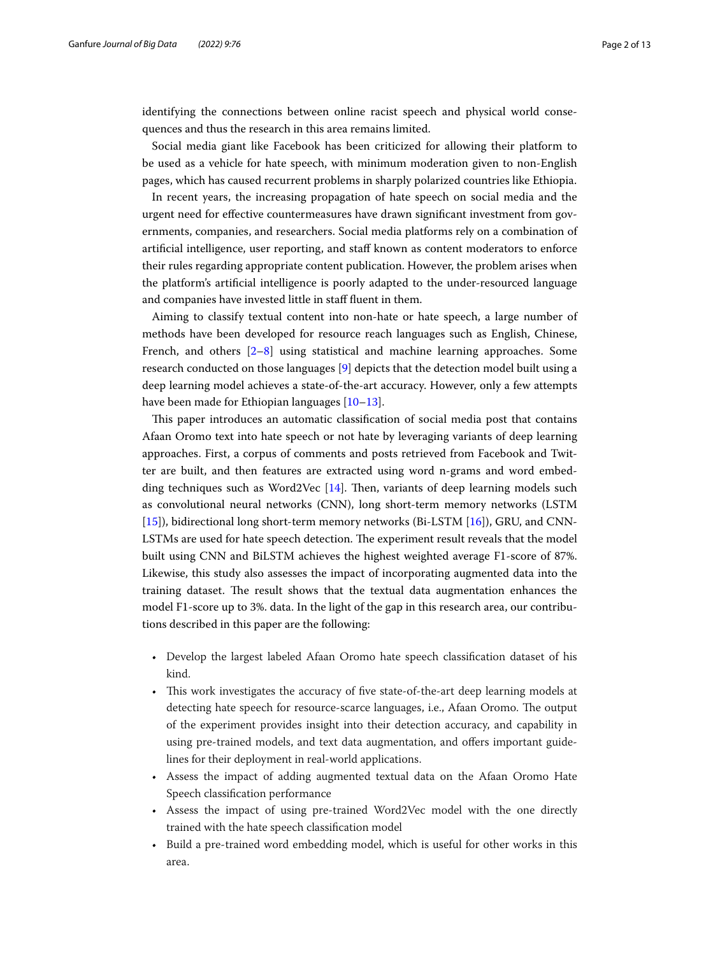identifying the connections between online racist speech and physical world consequences and thus the research in this area remains limited.

Social media giant like Facebook has been criticized for allowing their platform to be used as a vehicle for hate speech, with minimum moderation given to non-English pages, which has caused recurrent problems in sharply polarized countries like Ethiopia.

In recent years, the increasing propagation of hate speech on social media and the urgent need for efective countermeasures have drawn signifcant investment from governments, companies, and researchers. Social media platforms rely on a combination of artifcial intelligence, user reporting, and staf known as content moderators to enforce their rules regarding appropriate content publication. However, the problem arises when the platform's artifcial intelligence is poorly adapted to the under-resourced language and companies have invested little in staff fluent in them.

Aiming to classify textual content into non-hate or hate speech, a large number of methods have been developed for resource reach languages such as English, Chinese, French, and others  $[2-8]$  $[2-8]$  using statistical and machine learning approaches. Some research conducted on those languages [[9\]](#page-11-3) depicts that the detection model built using a deep learning model achieves a state-of-the-art accuracy. However, only a few attempts have been made for Ethiopian languages [\[10](#page-11-4)–[13\]](#page-11-5).

This paper introduces an automatic classification of social media post that contains Afaan Oromo text into hate speech or not hate by leveraging variants of deep learning approaches. First, a corpus of comments and posts retrieved from Facebook and Twitter are built, and then features are extracted using word n-grams and word embedding techniques such as Word2Vec  $[14]$  $[14]$ . Then, variants of deep learning models such as convolutional neural networks (CNN), long short-term memory networks (LSTM [[15\]](#page-11-7)), bidirectional long short-term memory networks (Bi-LSTM [[16\]](#page-11-8)), GRU, and CNN-LSTMs are used for hate speech detection. The experiment result reveals that the model built using CNN and BiLSTM achieves the highest weighted average F1-score of 87%. Likewise, this study also assesses the impact of incorporating augmented data into the training dataset. The result shows that the textual data augmentation enhances the model F1-score up to 3%. data. In the light of the gap in this research area, our contributions described in this paper are the following:

- Develop the largest labeled Afaan Oromo hate speech classifcation dataset of his kind.
- This work investigates the accuracy of five state-of-the-art deep learning models at detecting hate speech for resource-scarce languages, i.e., Afaan Oromo. The output of the experiment provides insight into their detection accuracy, and capability in using pre-trained models, and text data augmentation, and offers important guidelines for their deployment in real-world applications.
- Assess the impact of adding augmented textual data on the Afaan Oromo Hate Speech classifcation performance
- Assess the impact of using pre-trained Word2Vec model with the one directly trained with the hate speech classifcation model
- Build a pre-trained word embedding model, which is useful for other works in this area.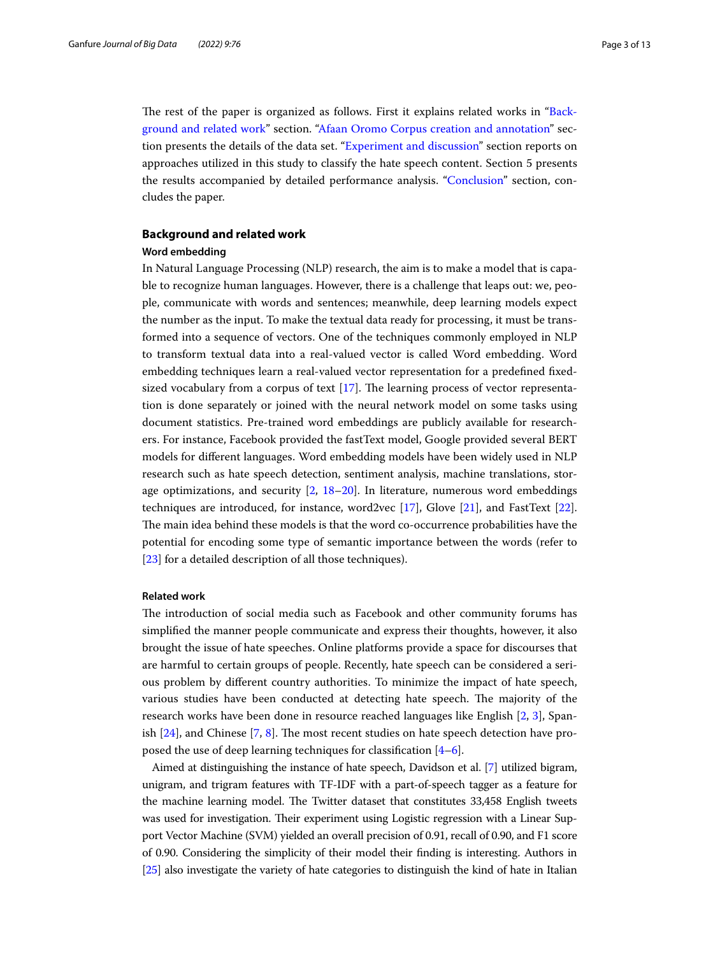The rest of the paper is organized as follows. First it explains related works in "[Back](#page-2-0)[ground and related work"](#page-2-0) section. ["Afaan Oromo Corpus creation and annotation"](#page-4-0) section presents the details of the data set. "[Experiment and discussion](#page-7-0)" section reports on approaches utilized in this study to classify the hate speech content. Section 5 presents the results accompanied by detailed performance analysis. ["Conclusion](#page-10-0)" section, concludes the paper.

#### <span id="page-2-0"></span>**Background and related work**

#### **Word embedding**

In Natural Language Processing (NLP) research, the aim is to make a model that is capable to recognize human languages. However, there is a challenge that leaps out: we, people, communicate with words and sentences; meanwhile, deep learning models expect the number as the input. To make the textual data ready for processing, it must be transformed into a sequence of vectors. One of the techniques commonly employed in NLP to transform textual data into a real-valued vector is called Word embedding. Word embedding techniques learn a real-valued vector representation for a predefned fxedsized vocabulary from a corpus of text  $[17]$  $[17]$ . The learning process of vector representation is done separately or joined with the neural network model on some tasks using document statistics. Pre-trained word embeddings are publicly available for researchers. For instance, Facebook provided the fastText model, Google provided several BERT models for diferent languages. Word embedding models have been widely used in NLP research such as hate speech detection, sentiment analysis, machine translations, storage optimizations, and security  $[2, 18-20]$  $[2, 18-20]$  $[2, 18-20]$ . In literature, numerous word embeddings techniques are introduced, for instance, word2vec [\[17\]](#page-11-9), Glove [[21](#page-11-12)], and FastText [\[22](#page-11-13)]. The main idea behind these models is that the word co-occurrence probabilities have the potential for encoding some type of semantic importance between the words (refer to [[23\]](#page-11-14) for a detailed description of all those techniques).

#### **Related work**

The introduction of social media such as Facebook and other community forums has simplifed the manner people communicate and express their thoughts, however, it also brought the issue of hate speeches. Online platforms provide a space for discourses that are harmful to certain groups of people. Recently, hate speech can be considered a serious problem by diferent country authorities. To minimize the impact of hate speech, various studies have been conducted at detecting hate speech. The majority of the research works have been done in resource reached languages like English [[2,](#page-11-1) [3\]](#page-11-15), Spanish  $[24]$  $[24]$ , and Chinese  $[7, 8]$  $[7, 8]$  $[7, 8]$  $[7, 8]$ . The most recent studies on hate speech detection have proposed the use of deep learning techniques for classifcation [[4–](#page-11-18)[6\]](#page-11-19).

Aimed at distinguishing the instance of hate speech, Davidson et al. [\[7\]](#page-11-17) utilized bigram, unigram, and trigram features with TF-IDF with a part-of-speech tagger as a feature for the machine learning model. The Twitter dataset that constitutes 33,458 English tweets was used for investigation. Their experiment using Logistic regression with a Linear Support Vector Machine (SVM) yielded an overall precision of 0.91, recall of 0.90, and F1 score of 0.90. Considering the simplicity of their model their fnding is interesting. Authors in [[25](#page-11-20)] also investigate the variety of hate categories to distinguish the kind of hate in Italian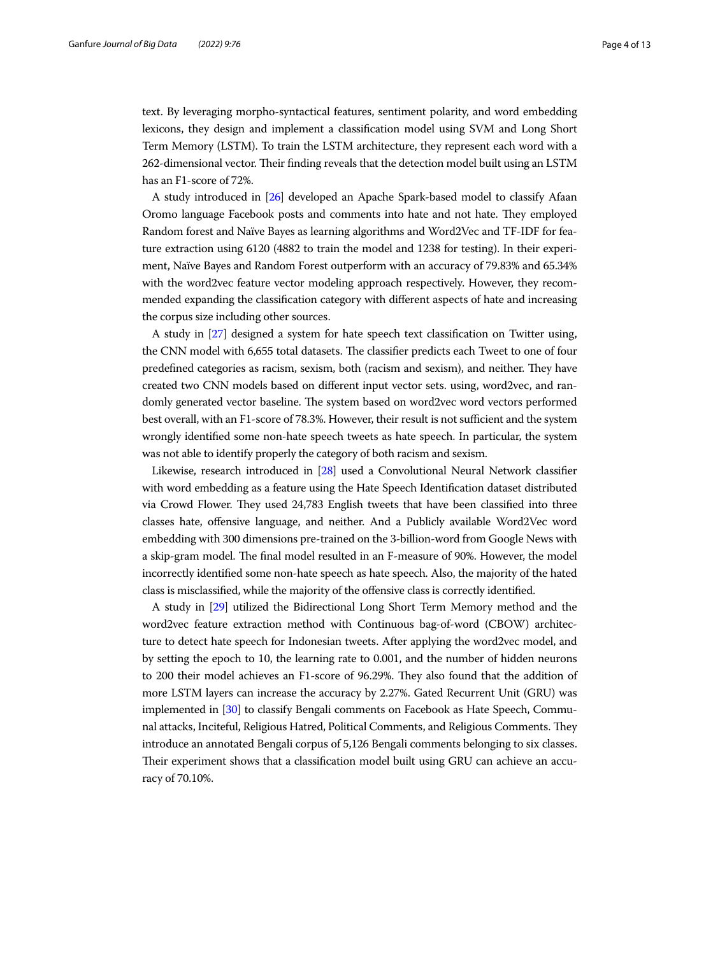text. By leveraging morpho-syntactical features, sentiment polarity, and word embedding lexicons, they design and implement a classifcation model using SVM and Long Short Term Memory (LSTM). To train the LSTM architecture, they represent each word with a 262-dimensional vector. Their finding reveals that the detection model built using an LSTM has an F1-score of 72%.

A study introduced in [[26](#page-11-21)] developed an Apache Spark-based model to classify Afaan Oromo language Facebook posts and comments into hate and not hate. They employed Random forest and Naïve Bayes as learning algorithms and Word2Vec and TF-IDF for feature extraction using 6120 (4882 to train the model and 1238 for testing). In their experiment, Naïve Bayes and Random Forest outperform with an accuracy of 79.83% and 65.34% with the word2vec feature vector modeling approach respectively. However, they recommended expanding the classifcation category with diferent aspects of hate and increasing the corpus size including other sources.

A study in [\[27\]](#page-11-22) designed a system for hate speech text classifcation on Twitter using, the CNN model with 6,655 total datasets. The classifier predicts each Tweet to one of four predefined categories as racism, sexism, both (racism and sexism), and neither. They have created two CNN models based on diferent input vector sets. using, word2vec, and randomly generated vector baseline. The system based on word2vec word vectors performed best overall, with an F1-score of 78.3%. However, their result is not sufficient and the system wrongly identifed some non-hate speech tweets as hate speech. In particular, the system was not able to identify properly the category of both racism and sexism.

Likewise, research introduced in [[28](#page-11-23)] used a Convolutional Neural Network classifer with word embedding as a feature using the Hate Speech Identifcation dataset distributed via Crowd Flower. They used 24,783 English tweets that have been classified into three classes hate, ofensive language, and neither. And a Publicly available Word2Vec word embedding with 300 dimensions pre-trained on the 3-billion-word from Google News with a skip-gram model. The final model resulted in an F-measure of 90%. However, the model incorrectly identifed some non-hate speech as hate speech. Also, the majority of the hated class is misclassifed, while the majority of the ofensive class is correctly identifed.

A study in [\[29\]](#page-11-24) utilized the Bidirectional Long Short Term Memory method and the word2vec feature extraction method with Continuous bag-of-word (CBOW) architecture to detect hate speech for Indonesian tweets. After applying the word2vec model, and by setting the epoch to 10, the learning rate to 0.001, and the number of hidden neurons to 200 their model achieves an F1-score of 96.29%. They also found that the addition of more LSTM layers can increase the accuracy by 2.27%. Gated Recurrent Unit (GRU) was implemented in [[30](#page-11-25)] to classify Bengali comments on Facebook as Hate Speech, Communal attacks, Inciteful, Religious Hatred, Political Comments, and Religious Comments. They introduce an annotated Bengali corpus of 5,126 Bengali comments belonging to six classes. Their experiment shows that a classification model built using GRU can achieve an accuracy of 70.10%.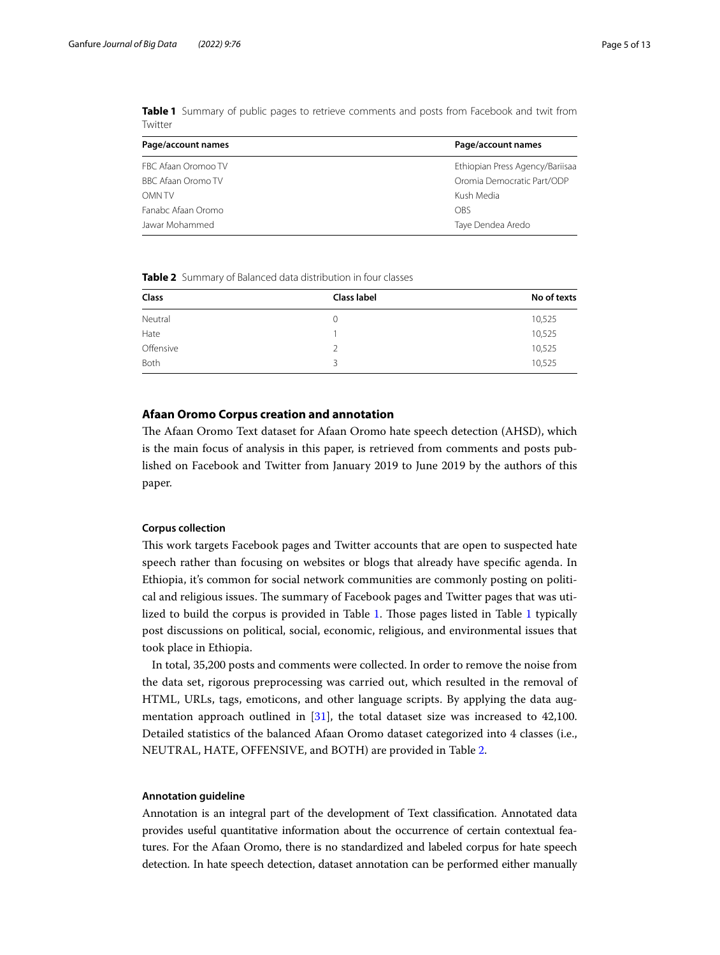| Page/account names  | Page/account names              |  |
|---------------------|---------------------------------|--|
| FBC Afaan Oromoo TV | Ethiopian Press Agency/Bariisaa |  |
| BBC Afaan Oromo TV  | Oromia Democratic Part/ODP      |  |
| <b>OMN TV</b>       | Kush Media                      |  |
| Fanabc Afaan Oromo  | OBS                             |  |
| Jawar Mohammed      | Taye Dendea Aredo               |  |

<span id="page-4-1"></span>**Table 1** Summary of public pages to retrieve comments and posts from Facebook and twit from Twitter

<span id="page-4-2"></span>**Table 2** Summary of Balanced data distribution in four classes

| Class       | Class label      | No of texts |
|-------------|------------------|-------------|
| Neutral     | $\left( \right)$ | 10,525      |
| Hate        |                  | 10,525      |
| Offensive   |                  | 10,525      |
| <b>Both</b> |                  | 10,525      |

## <span id="page-4-0"></span>**Afaan Oromo Corpus creation and annotation**

The Afaan Oromo Text dataset for Afaan Oromo hate speech detection (AHSD), which is the main focus of analysis in this paper, is retrieved from comments and posts published on Facebook and Twitter from January 2019 to June 2019 by the authors of this paper.

## **Corpus collection**

Tis work targets Facebook pages and Twitter accounts that are open to suspected hate speech rather than focusing on websites or blogs that already have specifc agenda. In Ethiopia, it's common for social network communities are commonly posting on political and religious issues. The summary of Facebook pages and Twitter pages that was utilized to build the corpus is provided in Table [1](#page-4-1). Tose pages listed in Table [1](#page-4-1) typically post discussions on political, social, economic, religious, and environmental issues that took place in Ethiopia.

In total, 35,200 posts and comments were collected. In order to remove the noise from the data set, rigorous preprocessing was carried out, which resulted in the removal of HTML, URLs, tags, emoticons, and other language scripts. By applying the data augmentation approach outlined in [\[31](#page-12-0)], the total dataset size was increased to 42,100. Detailed statistics of the balanced Afaan Oromo dataset categorized into 4 classes (i.e., NEUTRAL, HATE, OFFENSIVE, and BOTH) are provided in Table [2.](#page-4-2)

#### **Annotation guideline**

Annotation is an integral part of the development of Text classifcation. Annotated data provides useful quantitative information about the occurrence of certain contextual features. For the Afaan Oromo, there is no standardized and labeled corpus for hate speech detection. In hate speech detection, dataset annotation can be performed either manually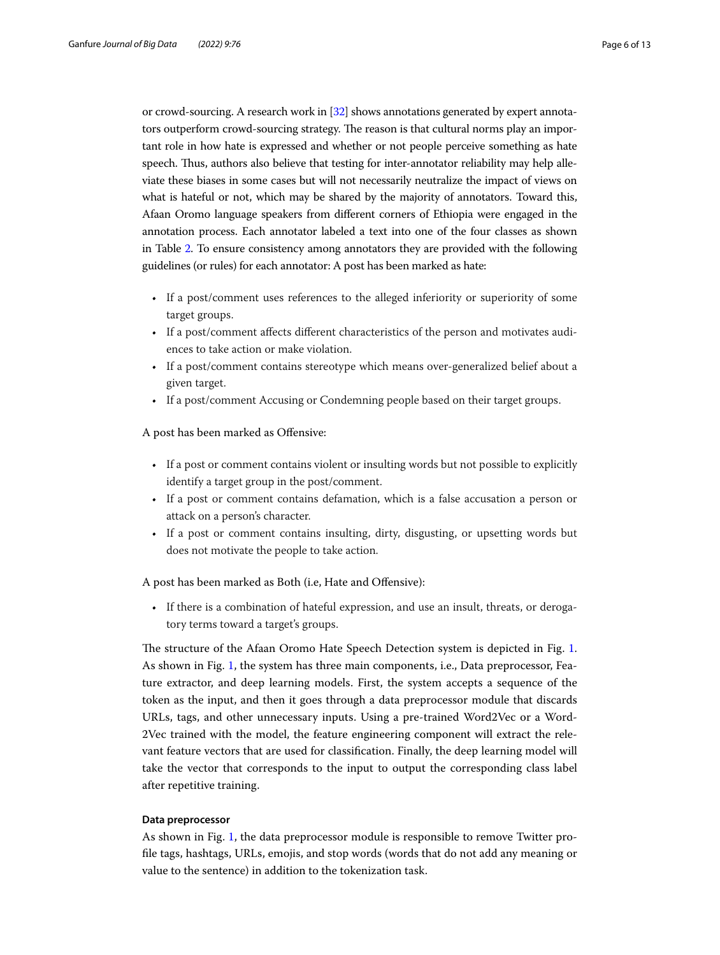or crowd-sourcing. A research work in [[32](#page-12-1)] shows annotations generated by expert annotators outperform crowd-sourcing strategy. The reason is that cultural norms play an important role in how hate is expressed and whether or not people perceive something as hate speech. Thus, authors also believe that testing for inter-annotator reliability may help alleviate these biases in some cases but will not necessarily neutralize the impact of views on what is hateful or not, which may be shared by the majority of annotators. Toward this, Afaan Oromo language speakers from diferent corners of Ethiopia were engaged in the annotation process. Each annotator labeled a text into one of the four classes as shown in Table [2.](#page-4-2) To ensure consistency among annotators they are provided with the following guidelines (or rules) for each annotator: A post has been marked as hate:

- If a post/comment uses references to the alleged inferiority or superiority of some target groups.
- If a post/comment afects diferent characteristics of the person and motivates audiences to take action or make violation.
- If a post/comment contains stereotype which means over-generalized belief about a given target.
- If a post/comment Accusing or Condemning people based on their target groups.

A post has been marked as Ofensive:

- If a post or comment contains violent or insulting words but not possible to explicitly identify a target group in the post/comment.
- If a post or comment contains defamation, which is a false accusation a person or attack on a person's character.
- If a post or comment contains insulting, dirty, disgusting, or upsetting words but does not motivate the people to take action.

A post has been marked as Both (i.e, Hate and Ofensive):

• If there is a combination of hateful expression, and use an insult, threats, or derogatory terms toward a target's groups.

The structure of the Afaan Oromo Hate Speech Detection system is depicted in Fig. [1](#page-6-0). As shown in Fig. [1,](#page-6-0) the system has three main components, i.e., Data preprocessor, Feature extractor, and deep learning models. First, the system accepts a sequence of the token as the input, and then it goes through a data preprocessor module that discards URLs, tags, and other unnecessary inputs. Using a pre-trained Word2Vec or a Word-2Vec trained with the model, the feature engineering component will extract the relevant feature vectors that are used for classifcation. Finally, the deep learning model will take the vector that corresponds to the input to output the corresponding class label after repetitive training.

#### **Data preprocessor**

As shown in Fig. [1,](#page-6-0) the data preprocessor module is responsible to remove Twitter profle tags, hashtags, URLs, emojis, and stop words (words that do not add any meaning or value to the sentence) in addition to the tokenization task.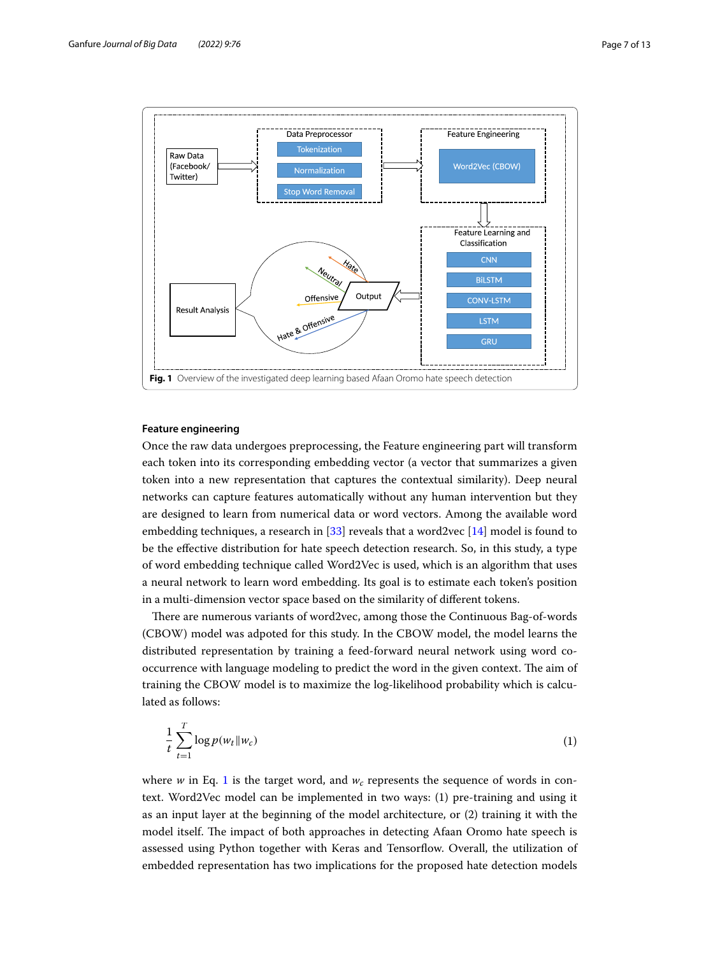

#### <span id="page-6-0"></span>**Feature engineering**

Once the raw data undergoes preprocessing, the Feature engineering part will transform each token into its corresponding embedding vector (a vector that summarizes a given token into a new representation that captures the contextual similarity). Deep neural networks can capture features automatically without any human intervention but they are designed to learn from numerical data or word vectors. Among the available word embedding techniques, a research in  $[33]$  reveals that a word2vec  $[14]$  $[14]$  model is found to be the efective distribution for hate speech detection research. So, in this study, a type of word embedding technique called Word2Vec is used, which is an algorithm that uses a neural network to learn word embedding. Its goal is to estimate each token's position in a multi-dimension vector space based on the similarity of diferent tokens.

There are numerous variants of word2vec, among those the Continuous Bag-of-words (CBOW) model was adpoted for this study. In the CBOW model, the model learns the distributed representation by training a feed-forward neural network using word cooccurrence with language modeling to predict the word in the given context. The aim of training the CBOW model is to maximize the log-likelihood probability which is calculated as follows:

<span id="page-6-1"></span>
$$
\frac{1}{t}\sum_{t=1}^{T}\log p(w_t||w_c) \tag{1}
$$

where  $w$  in Eq. [1](#page-6-1) is the target word, and  $w_c$  represents the sequence of words in context. Word2Vec model can be implemented in two ways: (1) pre-training and using it as an input layer at the beginning of the model architecture, or (2) training it with the model itself. The impact of both approaches in detecting Afaan Oromo hate speech is assessed using Python together with Keras and Tensorfow. Overall, the utilization of embedded representation has two implications for the proposed hate detection models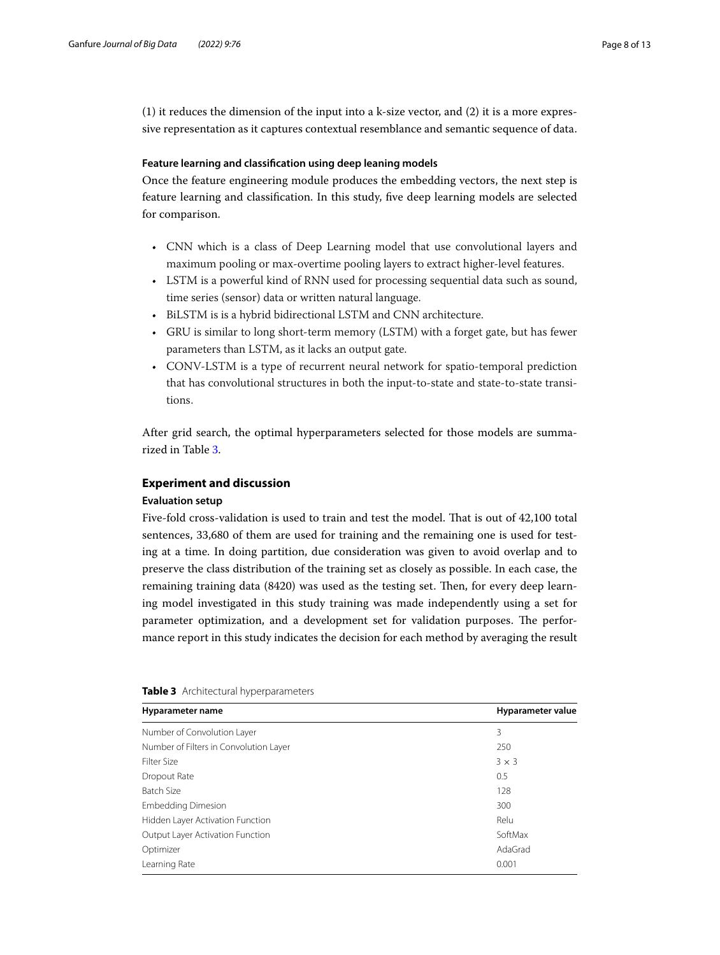(1) it reduces the dimension of the input into a k-size vector, and  $(2)$  it is a more expressive representation as it captures contextual resemblance and semantic sequence of data.

## **Feature learning and classifcation using deep leaning models**

Once the feature engineering module produces the embedding vectors, the next step is feature learning and classifcation. In this study, fve deep learning models are selected for comparison.

- CNN which is a class of Deep Learning model that use convolutional layers and maximum pooling or max-overtime pooling layers to extract higher-level features.
- LSTM is a powerful kind of RNN used for processing sequential data such as sound, time series (sensor) data or written natural language.
- BiLSTM is is a hybrid bidirectional LSTM and CNN architecture.
- GRU is similar to long short-term memory (LSTM) with a forget gate, but has fewer parameters than LSTM, as it lacks an output gate.
- CONV-LSTM is a type of recurrent neural network for spatio-temporal prediction that has convolutional structures in both the input-to-state and state-to-state transitions.

After grid search, the optimal hyperparameters selected for those models are summarized in Table [3.](#page-7-1)

## <span id="page-7-0"></span>**Experiment and discussion**

## **Evaluation setup**

Five-fold cross-validation is used to train and test the model. That is out of 42,100 total sentences, 33,680 of them are used for training and the remaining one is used for testing at a time. In doing partition, due consideration was given to avoid overlap and to preserve the class distribution of the training set as closely as possible. In each case, the remaining training data (8420) was used as the testing set. Then, for every deep learning model investigated in this study training was made independently using a set for parameter optimization, and a development set for validation purposes. The performance report in this study indicates the decision for each method by averaging the result

| Hyparameter name                       | Hyparameter value |
|----------------------------------------|-------------------|
| Number of Convolution Layer            | 3                 |
| Number of Filters in Convolution Layer | 250               |
| Filter Size                            | $3 \times 3$      |
| Dropout Rate                           | 0.5               |
| Batch Size                             | 128               |
| <b>Embedding Dimesion</b>              | 300               |
| Hidden Layer Activation Function       | Relu              |
| Output Layer Activation Function       | SoftMax           |
| Optimizer                              | AdaGrad           |
| Learning Rate                          | 0.001             |

<span id="page-7-1"></span>

| Table 3 Architectural hyperparameters |  |
|---------------------------------------|--|
|---------------------------------------|--|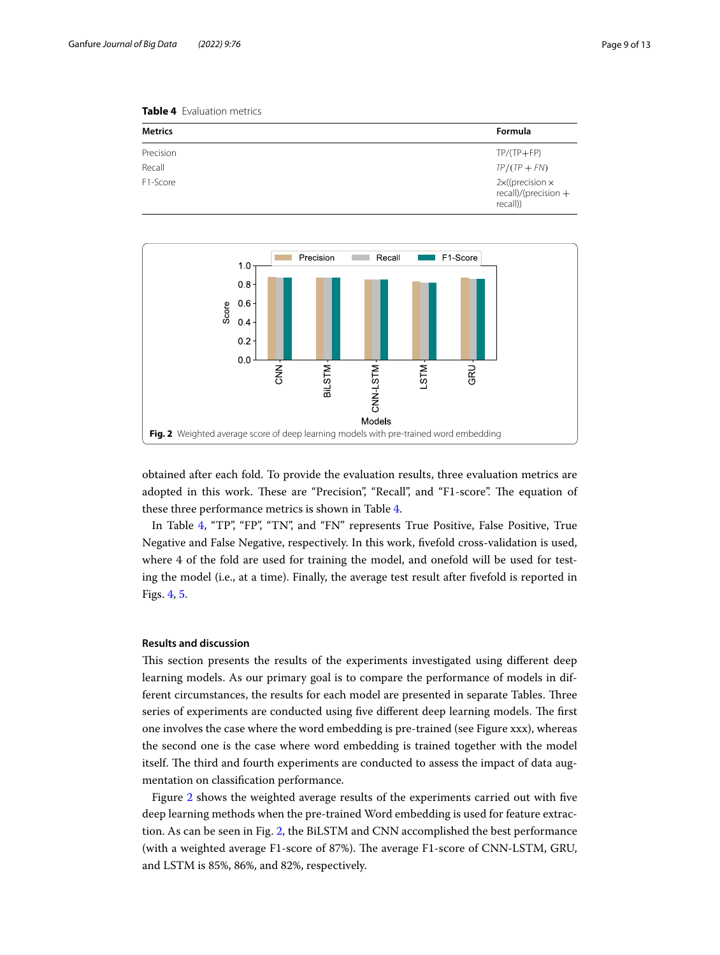<span id="page-8-0"></span>**Table 4** Evaluation metrics

| <b>Metrics</b> | <b>Formula</b>                                             |
|----------------|------------------------------------------------------------|
| Precision      | $TP/(TP + FP)$                                             |
| Recall         | $TP/(TP + FN)$                                             |
| F1-Score       | $2x$ ((precision $x$<br>recall)/(precision $+$<br>recall)) |



<span id="page-8-1"></span>obtained after each fold. To provide the evaluation results, three evaluation metrics are adopted in this work. These are "Precision", "Recall", and "F1-score". The equation of these three performance metrics is shown in Table [4.](#page-8-0)

In Table [4,](#page-8-0) "TP", "FP", "TN", and "FN" represents True Positive, False Positive, True Negative and False Negative, respectively. In this work, fvefold cross-validation is used, where 4 of the fold are used for training the model, and onefold will be used for testing the model (i.e., at a time). Finally, the average test result after fvefold is reported in Figs. [4,](#page-9-0) [5.](#page-9-1)

#### **Results and discussion**

This section presents the results of the experiments investigated using different deep learning models. As our primary goal is to compare the performance of models in different circumstances, the results for each model are presented in separate Tables. Three series of experiments are conducted using five different deep learning models. The first one involves the case where the word embedding is pre-trained (see Figure xxx), whereas the second one is the case where word embedding is trained together with the model itself. The third and fourth experiments are conducted to assess the impact of data augmentation on classifcation performance.

Figure [2](#page-8-1) shows the weighted average results of the experiments carried out with fve deep learning methods when the pre-trained Word embedding is used for feature extraction. As can be seen in Fig. [2,](#page-8-1) the BiLSTM and CNN accomplished the best performance (with a weighted average F1-score of 87%). The average F1-score of CNN-LSTM, GRU, and LSTM is 85%, 86%, and 82%, respectively.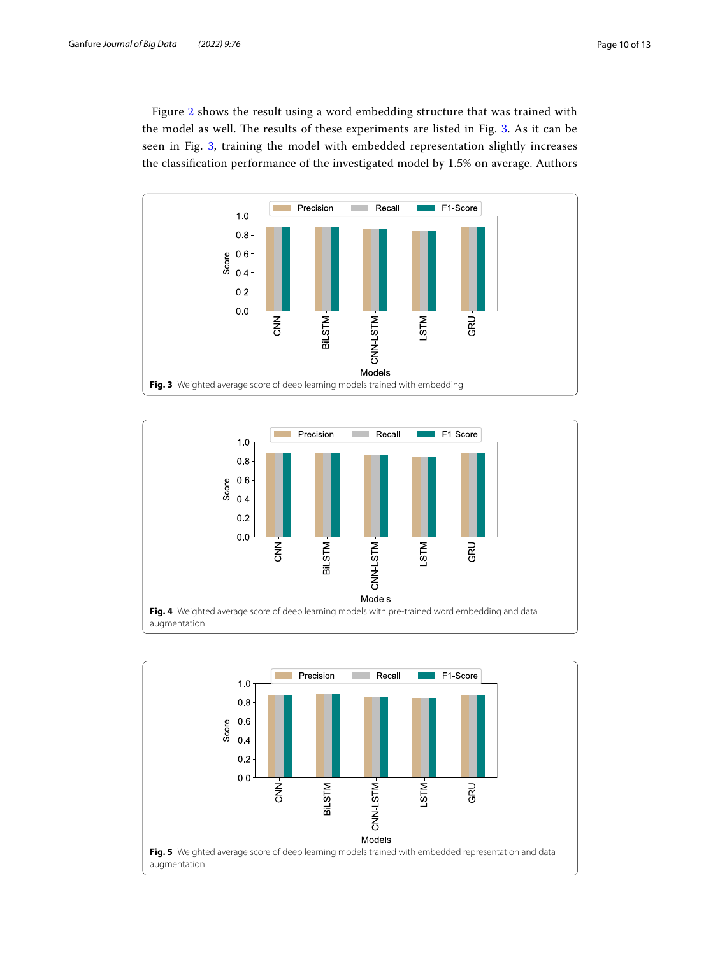Figure [2](#page-8-1) shows the result using a word embedding structure that was trained with the model as well. The results of these experiments are listed in Fig. [3.](#page-9-2) As it can be seen in Fig. [3](#page-9-2), training the model with embedded representation slightly increases the classifcation performance of the investigated model by 1.5% on average. Authors



<span id="page-9-2"></span>

<span id="page-9-1"></span><span id="page-9-0"></span>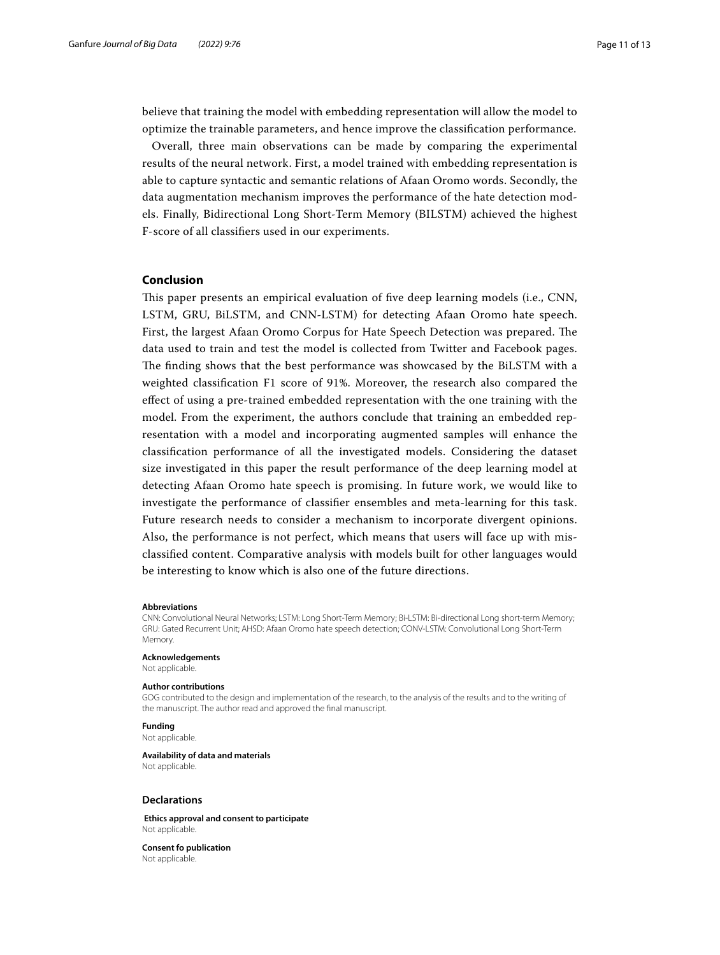believe that training the model with embedding representation will allow the model to optimize the trainable parameters, and hence improve the classifcation performance.

Overall, three main observations can be made by comparing the experimental results of the neural network. First, a model trained with embedding representation is able to capture syntactic and semantic relations of Afaan Oromo words. Secondly, the data augmentation mechanism improves the performance of the hate detection models. Finally, Bidirectional Long Short-Term Memory (BILSTM) achieved the highest F-score of all classifers used in our experiments.

#### <span id="page-10-0"></span>**Conclusion**

This paper presents an empirical evaluation of five deep learning models (i.e., CNN, LSTM, GRU, BiLSTM, and CNN-LSTM) for detecting Afaan Oromo hate speech. First, the largest Afaan Oromo Corpus for Hate Speech Detection was prepared. The data used to train and test the model is collected from Twitter and Facebook pages. The finding shows that the best performance was showcased by the BiLSTM with a weighted classifcation F1 score of 91%. Moreover, the research also compared the efect of using a pre-trained embedded representation with the one training with the model. From the experiment, the authors conclude that training an embedded representation with a model and incorporating augmented samples will enhance the classifcation performance of all the investigated models. Considering the dataset size investigated in this paper the result performance of the deep learning model at detecting Afaan Oromo hate speech is promising. In future work, we would like to investigate the performance of classifer ensembles and meta-learning for this task. Future research needs to consider a mechanism to incorporate divergent opinions. Also, the performance is not perfect, which means that users will face up with misclassifed content. Comparative analysis with models built for other languages would be interesting to know which is also one of the future directions.

#### **Abbreviations**

CNN: Convolutional Neural Networks; LSTM: Long Short-Term Memory; Bi-LSTM: Bi-directional Long short-term Memory; GRU: Gated Recurrent Unit; AHSD: Afaan Oromo hate speech detection; CONV-LSTM: Convolutional Long Short-Term Memory.

#### **Acknowledgements**

Not applicable.

#### **Author contributions**

GOG contributed to the design and implementation of the research, to the analysis of the results and to the writing of the manuscript. The author read and approved the fnal manuscript.

## **Funding**

Not applicable.

#### **Availability of data and materials** Not applicable.

**Declarations**

 **Ethics approval and consent to participate** Not applicable.

**Consent fo publication** Not applicable.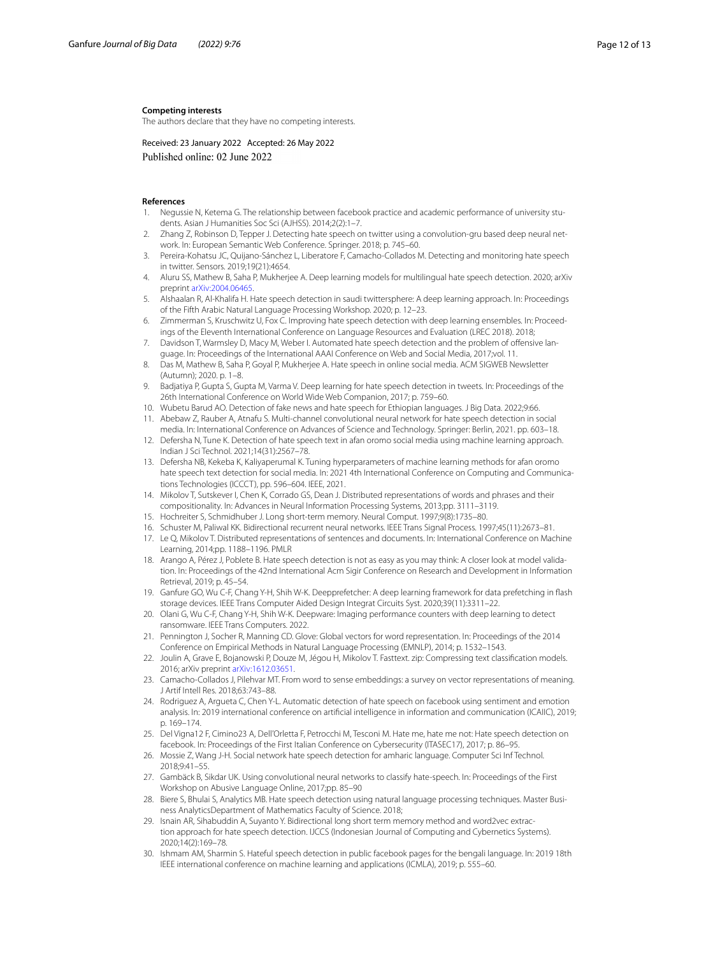#### **Competing interests**

The authors declare that they have no competing interests.

Received: 23 January 2022 Accepted: 26 May 2022 Published online: 02 June 2022

#### **References**

- <span id="page-11-0"></span>Negussie N, Ketema G. The relationship between facebook practice and academic performance of university students. Asian J Humanities Soc Sci (AJHSS). 2014;2(2):1–7.
- <span id="page-11-1"></span>2. Zhang Z, Robinson D, Tepper J. Detecting hate speech on twitter using a convolution-gru based deep neural network. In: European Semantic Web Conference. Springer. 2018; p. 745–60.
- <span id="page-11-15"></span>3. Pereira-Kohatsu JC, Quijano-Sánchez L, Liberatore F, Camacho-Collados M. Detecting and monitoring hate speech in twitter. Sensors. 2019;19(21):4654.
- <span id="page-11-18"></span>4. Aluru SS, Mathew B, Saha P, Mukherjee A. Deep learning models for multilingual hate speech detection. 2020; arXiv preprint [arXiv:2004.06465.](http://arxiv.org/abs/2004.06465)
- 5. Alshaalan R, Al-Khalifa H. Hate speech detection in saudi twittersphere: A deep learning approach. In: Proceedings of the Fifth Arabic Natural Language Processing Workshop. 2020; p. 12–23.
- <span id="page-11-19"></span>6. Zimmerman S, Kruschwitz U, Fox C. Improving hate speech detection with deep learning ensembles. In: Proceedings of the Eleventh International Conference on Language Resources and Evaluation (LREC 2018). 2018;
- <span id="page-11-17"></span>7. Davidson T, Warmsley D, Macy M, Weber I. Automated hate speech detection and the problem of offensive language. In: Proceedings of the International AAAI Conference on Web and Social Media, 2017;vol. 11.
- <span id="page-11-2"></span>8. Das M, Mathew B, Saha P, Goyal P, Mukherjee A. Hate speech in online social media. ACM SIGWEB Newsletter (Autumn); 2020. p. 1–8.
- <span id="page-11-3"></span>9. Badjatiya P, Gupta S, Gupta M, Varma V. Deep learning for hate speech detection in tweets. In: Proceedings of the 26th International Conference on World Wide Web Companion, 2017; p. 759–60.
- <span id="page-11-4"></span>10. Wubetu Barud AO. Detection of fake news and hate speech for Ethiopian languages. J Big Data. 2022;9:66.
- 11. Abebaw Z, Rauber A, Atnafu S. Multi-channel convolutional neural network for hate speech detection in social media. In: International Conference on Advances of Science and Technology. Springer: Berlin, 2021. pp. 603–18.
- 12. Defersha N, Tune K. Detection of hate speech text in afan oromo social media using machine learning approach. Indian J Sci Technol. 2021;14(31):2567–78.
- <span id="page-11-5"></span>13. Defersha NB, Kekeba K, Kaliyaperumal K. Tuning hyperparameters of machine learning methods for afan oromo hate speech text detection for social media. In: 2021 4th International Conference on Computing and Communications Technologies (ICCCT), pp. 596–604. IEEE, 2021.
- <span id="page-11-6"></span>14. Mikolov T, Sutskever I, Chen K, Corrado GS, Dean J. Distributed representations of words and phrases and their compositionality. In: Advances in Neural Information Processing Systems, 2013;pp. 3111–3119.
- <span id="page-11-7"></span>15. Hochreiter S, Schmidhuber J. Long short-term memory. Neural Comput. 1997;9(8):1735–80.
- <span id="page-11-8"></span>16. Schuster M, Paliwal KK. Bidirectional recurrent neural networks. IEEE Trans Signal Process. 1997;45(11):2673–81.
- <span id="page-11-9"></span>17. Le Q, Mikolov T. Distributed representations of sentences and documents. In: International Conference on Machine Learning, 2014;pp. 1188–1196. PMLR
- <span id="page-11-10"></span>18. Arango A, Pérez J, Poblete B. Hate speech detection is not as easy as you may think: A closer look at model validation. In: Proceedings of the 42nd International Acm Sigir Conference on Research and Development in Information Retrieval, 2019; p. 45–54.
- 19. Ganfure GO, Wu C-F, Chang Y-H, Shih W-K. Deepprefetcher: A deep learning framework for data prefetching in fash storage devices. IEEE Trans Computer Aided Design Integrat Circuits Syst. 2020;39(11):3311–22.
- <span id="page-11-11"></span>20. Olani G, Wu C-F, Chang Y-H, Shih W-K. Deepware: Imaging performance counters with deep learning to detect ransomware. IEEE Trans Computers. 2022.
- <span id="page-11-12"></span>21. Pennington J, Socher R, Manning CD. Glove: Global vectors for word representation. In: Proceedings of the 2014 Conference on Empirical Methods in Natural Language Processing (EMNLP), 2014; p. 1532–1543.
- <span id="page-11-13"></span>22. Joulin A, Grave E, Bojanowski P, Douze M, Jégou H, Mikolov T. Fasttext. zip: Compressing text classification models. 2016; arXiv preprint [arXiv:1612.03651.](http://arxiv.org/abs/1612.03651)
- <span id="page-11-14"></span>23. Camacho-Collados J, Pilehvar MT. From word to sense embeddings: a survey on vector representations of meaning. J Artif Intell Res. 2018;63:743–88.
- <span id="page-11-16"></span>24. Rodriguez A, Argueta C, Chen Y-L. Automatic detection of hate speech on facebook using sentiment and emotion analysis. In: 2019 international conference on artifcial intelligence in information and communication (ICAIIC), 2019; p. 169–174.
- <span id="page-11-20"></span>25. Del Vigna12 F, Cimino23 A, Dell'Orletta F, Petrocchi M, Tesconi M. Hate me, hate me not: Hate speech detection on facebook. In: Proceedings of the First Italian Conference on Cybersecurity (ITASEC17), 2017; p. 86-95.
- <span id="page-11-21"></span>26. Mossie Z, Wang J-H. Social network hate speech detection for amharic language. Computer Sci Inf Technol. 2018;9:41–55.
- <span id="page-11-22"></span>27. Gambäck B, Sikdar UK. Using convolutional neural networks to classify hate-speech. In: Proceedings of the First Workshop on Abusive Language Online, 2017;pp. 85–90
- <span id="page-11-23"></span>28. Biere S, Bhulai S, Analytics MB. Hate speech detection using natural language processing techniques. Master Business AnalyticsDepartment of Mathematics Faculty of Science. 2018;
- <span id="page-11-24"></span>29. Isnain AR, Sihabuddin A, Suyanto Y. Bidirectional long short term memory method and word2vec extraction approach for hate speech detection. IJCCS (Indonesian Journal of Computing and Cybernetics Systems). 2020;14(2):169–78.
- <span id="page-11-25"></span>30. Ishmam AM, Sharmin S. Hateful speech detection in public facebook pages for the bengali language. In: 2019 18th IEEE international conference on machine learning and applications (ICMLA), 2019; p. 555–60.